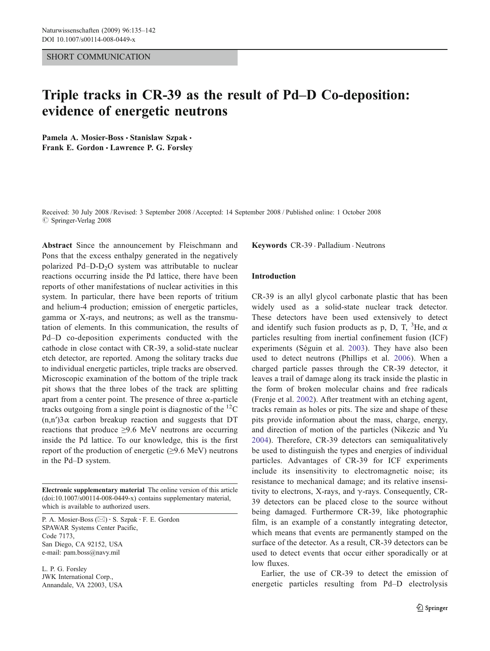### SHORT COMMUNICATION

# Triple tracks in CR-39 as the result of Pd*–*D Co-deposition: evidence of energetic neutrons

Pamela A. Mosier-Boss · Stanislaw Szpak · Frank E. Gordon · Lawrence P. G. Forsley

Received: 30 July 2008 /Revised: 3 September 2008 /Accepted: 14 September 2008 / Published online: 1 October 2008  $\oslash$  Springer-Verlag 2008

Abstract Since the announcement by Fleischmann and Pons that the excess enthalpy generated in the negatively polarized Pd–D-D2O system was attributable to nuclear reactions occurring inside the Pd lattice, there have been reports of other manifestations of nuclear activities in this system. In particular, there have been reports of tritium and helium-4 production; emission of energetic particles, gamma or X-rays, and neutrons; as well as the transmutation of elements. In this communication, the results of Pd–D co-deposition experiments conducted with the cathode in close contact with CR-39, a solid-state nuclear etch detector, are reported. Among the solitary tracks due to individual energetic particles, triple tracks are observed. Microscopic examination of the bottom of the triple track pit shows that the three lobes of the track are splitting apart from a center point. The presence of three  $\alpha$ -particle tracks outgoing from a single point is diagnostic of the  $^{12}$ C  $(n,n')$ 3 $\alpha$  carbon breakup reaction and suggests that DT reactions that produce ≥9.6 MeV neutrons are occurring inside the Pd lattice. To our knowledge, this is the first report of the production of energetic  $(\geq 9.6 \text{ MeV})$  neutrons in the Pd–D system.

Electronic supplementary material The online version of this article (doi:[10.1007/s00114-008-0449-x\)](http://dx.doi.org/10.1007/s00114-008-0449-x) contains supplementary material, which is available to authorized users.

P. A. Mosier-Boss (*\**) : S. Szpak : F. E. Gordon SPAWAR Systems Center Pacific, Code 7173, San Diego, CA 92152, USA e-mail: pam.boss@navy.mil

L. P. G. Forsley JWK International Corp., Annandale, VA 22003, USA Keywords CR-39 . Palladium . Neutrons

## Introduction

CR-39 is an allyl glycol carbonate plastic that has been widely used as a solid-state nuclear track detector. These detectors have been used extensively to detect and identify such fusion products as p, D, T,  ${}^{3}$ He, and  $\alpha$ particles resulting from inertial confinement fusion (ICF) experiments (Séguin et al. [2003\)](#page-7-0). They have also been used to detect neutrons (Phillips et al. [2006\)](#page-7-0). When a charged particle passes through the CR-39 detector, it leaves a trail of damage along its track inside the plastic in the form of broken molecular chains and free radicals (Frenje et al. [2002\)](#page-6-0). After treatment with an etching agent, tracks remain as holes or pits. The size and shape of these pits provide information about the mass, charge, energy, and direction of motion of the particles (Nikezic and Yu [2004](#page-7-0)). Therefore, CR-39 detectors can semiqualitatively be used to distinguish the types and energies of individual particles. Advantages of CR-39 for ICF experiments include its insensitivity to electromagnetic noise; its resistance to mechanical damage; and its relative insensitivity to electrons, X-rays, and  $\gamma$ -rays. Consequently, CR-39 detectors can be placed close to the source without being damaged. Furthermore CR-39, like photographic film, is an example of a constantly integrating detector, which means that events are permanently stamped on the surface of the detector. As a result, CR-39 detectors can be used to detect events that occur either sporadically or at low fluxes.

Earlier, the use of CR-39 to detect the emission of energetic particles resulting from Pd–D electrolysis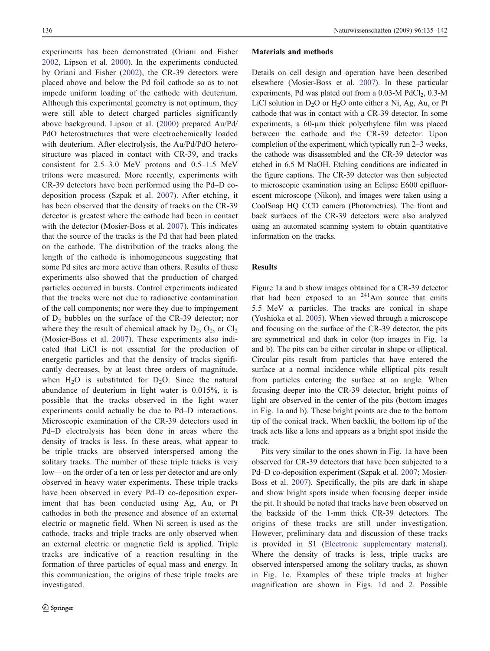experiments has been demonstrated (Oriani and Fisher [2002](#page-7-0), Lipson et al. [2000\)](#page-7-0). In the experiments conducted by Oriani and Fisher ([2002](#page-7-0)), the CR-39 detectors were placed above and below the Pd foil cathode so as to not impede uniform loading of the cathode with deuterium. Although this experimental geometry is not optimum, they were still able to detect charged particles significantly above background. Lipson et al. ([2000](#page-7-0)) prepared Au/Pd/ PdO heterostructures that were electrochemically loaded with deuterium. After electrolysis, the Au/Pd/PdO heterostructure was placed in contact with CR-39, and tracks consistent for 2.5–3.0 MeV protons and 0.5–1.5 MeV tritons were measured. More recently, experiments with CR-39 detectors have been performed using the Pd–D codeposition process (Szpak et al. [2007](#page-7-0)). After etching, it has been observed that the density of tracks on the CR-39 detector is greatest where the cathode had been in contact with the detector (Mosier-Boss et al. [2007\)](#page-7-0). This indicates that the source of the tracks is the Pd that had been plated on the cathode. The distribution of the tracks along the length of the cathode is inhomogeneous suggesting that some Pd sites are more active than others. Results of these experiments also showed that the production of charged particles occurred in bursts. Control experiments indicated that the tracks were not due to radioactive contamination of the cell components; nor were they due to impingement of  $D_2$  bubbles on the surface of the CR-39 detector; nor where they the result of chemical attack by  $D_2$ ,  $O_2$ , or  $Cl_2$ (Mosier-Boss et al. [2007\)](#page-7-0). These experiments also indicated that LiCl is not essential for the production of energetic particles and that the density of tracks significantly decreases, by at least three orders of magnitude, when  $H_2O$  is substituted for  $D_2O$ . Since the natural abundance of deuterium in light water is 0.015%, it is possible that the tracks observed in the light water experiments could actually be due to Pd–D interactions. Microscopic examination of the CR-39 detectors used in Pd–D electrolysis has been done in areas where the density of tracks is less. In these areas, what appear to be triple tracks are observed interspersed among the solitary tracks. The number of these triple tracks is very low—on the order of a ten or less per detector and are only observed in heavy water experiments. These triple tracks have been observed in every Pd–D co-deposition experiment that has been conducted using Ag, Au, or Pt cathodes in both the presence and absence of an external electric or magnetic field. When Ni screen is used as the cathode, tracks and triple tracks are only observed when an external electric or magnetic field is applied. Triple tracks are indicative of a reaction resulting in the formation of three particles of equal mass and energy. In this communication, the origins of these triple tracks are investigated.

#### Materials and methods

Details on cell design and operation have been described elsewhere (Mosier-Boss et al. [2007](#page-7-0)). In these particular experiments, Pd was plated out from a  $0.03-M$  PdCl<sub>2</sub>,  $0.3-M$ LiCl solution in  $D_2O$  or  $H_2O$  onto either a Ni, Ag, Au, or Pt cathode that was in contact with a CR-39 detector. In some experiments, a 60-μm thick polyethylene film was placed between the cathode and the CR-39 detector. Upon completion of the experiment, which typically run 2–3 weeks, the cathode was disassembled and the CR-39 detector was etched in 6.5 M NaOH. Etching conditions are indicated in the figure captions. The CR-39 detector was then subjected to microscopic examination using an Eclipse E600 epifluorescent microscope (Nikon), and images were taken using a CoolSnap HQ CCD camera (Photometrics). The front and back surfaces of the CR-39 detectors were also analyzed using an automated scanning system to obtain quantitative information on the tracks.

## **Results**

Figure [1a](#page-2-0) and b show images obtained for a CR-39 detector that had been exposed to an  $241$ Am source that emits 5.5 MeV  $\alpha$  particles. The tracks are conical in shape (Yoshioka et al. [2005](#page-7-0)). When viewed through a microscope and focusing on the surface of the CR-39 detector, the pits are symmetrical and dark in color (top images in Fig. [1a](#page-2-0) and b). The pits can be either circular in shape or elliptical. Circular pits result from particles that have entered the surface at a normal incidence while elliptical pits result from particles entering the surface at an angle. When focusing deeper into the CR-39 detector, bright points of light are observed in the center of the pits (bottom images in Fig. [1](#page-2-0)a and b). These bright points are due to the bottom tip of the conical track. When backlit, the bottom tip of the track acts like a lens and appears as a bright spot inside the track.

Pits very similar to the ones shown in Fig. [1](#page-2-0)a have been observed for CR-39 detectors that have been subjected to a Pd–D co-deposition experiment (Szpak et al. [2007;](#page-7-0) Mosier-Boss et al. [2007\)](#page-7-0). Specifically, the pits are dark in shape and show bright spots inside when focusing deeper inside the pit. It should be noted that tracks have been observed on the backside of the 1-mm thick CR-39 detectors. The origins of these tracks are still under investigation. However, preliminary data and discussion of these tracks is provided in S1 (Electronic supplementary material). Where the density of tracks is less, triple tracks are observed interspersed among the solitary tracks, as shown in Fig. [1](#page-2-0)c. Examples of these triple tracks at higher magnification are shown in Figs. [1d](#page-2-0) and [2.](#page-3-0) Possible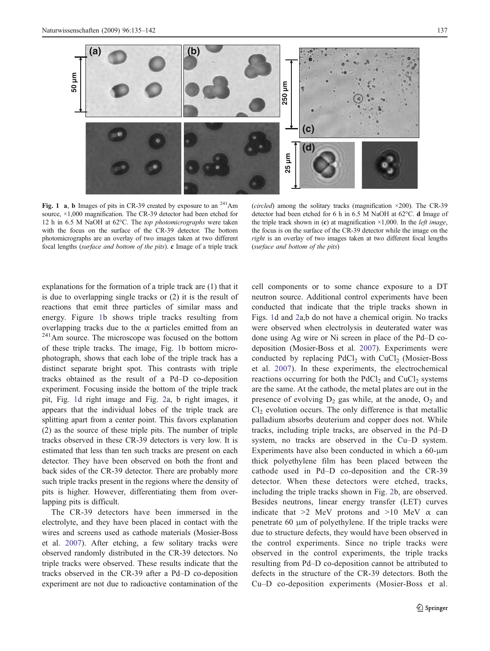<span id="page-2-0"></span>

Fig. 1 a, b Images of pits in CR-39 created by exposure to an <sup>241</sup>Am source,  $\times$ 1,000 magnification. The CR-39 detector had been etched for 12 h in 6.5 M NaOH at 62°C. The top photomicrographs were taken with the focus on the surface of the CR-39 detector. The bottom photomicrographs are an overlay of two images taken at two different focal lengths (surface and bottom of the pits). c Image of a triple track

(circled) among the solitary tracks (magnification ×200). The CR-39 detector had been etched for 6 h in 6.5 M NaOH at 62°C. d Image of the triple track shown in (c) at magnification  $\times$ 1,000. In the *left image*, the focus is on the surface of the CR-39 detector while the image on the right is an overlay of two images taken at two different focal lengths (surface and bottom of the pits)

explanations for the formation of a triple track are (1) that it is due to overlapping single tracks or (2) it is the result of reactions that emit three particles of similar mass and energy. Figure 1b shows triple tracks resulting from overlapping tracks due to the  $\alpha$  particles emitted from an <sup>241</sup>Am source. The microscope was focused on the bottom of these triple tracks. The image, Fig. 1b bottom microphotograph, shows that each lobe of the triple track has a distinct separate bright spot. This contrasts with triple tracks obtained as the result of a Pd–D co-deposition experiment. Focusing inside the bottom of the triple track pit, Fig. 1d right image and Fig. [2a](#page-3-0), b right images, it appears that the individual lobes of the triple track are splitting apart from a center point. This favors explanation (2) as the source of these triple pits. The number of triple tracks observed in these CR-39 detectors is very low. It is estimated that less than ten such tracks are present on each detector. They have been observed on both the front and back sides of the CR-39 detector. There are probably more such triple tracks present in the regions where the density of pits is higher. However, differentiating them from overlapping pits is difficult.

The CR-39 detectors have been immersed in the electrolyte, and they have been placed in contact with the wires and screens used as cathode materials (Mosier-Boss et al. [2007](#page-7-0)). After etching, a few solitary tracks were observed randomly distributed in the CR-39 detectors. No triple tracks were observed. These results indicate that the tracks observed in the CR-39 after a Pd–D co-deposition experiment are not due to radioactive contamination of the cell components or to some chance exposure to a DT neutron source. Additional control experiments have been conducted that indicate that the triple tracks shown in Figs. 1d and [2](#page-3-0)a,b do not have a chemical origin. No tracks were observed when electrolysis in deuterated water was done using Ag wire or Ni screen in place of the Pd–D codeposition (Mosier-Boss et al. [2007](#page-7-0)). Experiments were conducted by replacing  $PdCl_2$  with  $CuCl_2$  (Mosier-Boss et al. [2007](#page-7-0)). In these experiments, the electrochemical reactions occurring for both the  $PdCl<sub>2</sub>$  and  $CuCl<sub>2</sub>$  systems are the same. At the cathode, the metal plates are out in the presence of evolving  $D_2$  gas while, at the anode,  $O_2$  and  $Cl<sub>2</sub>$  evolution occurs. The only difference is that metallic palladium absorbs deuterium and copper does not. While tracks, including triple tracks, are observed in the Pd–D system, no tracks are observed in the Cu–D system. Experiments have also been conducted in which a 60-μm thick polyethylene film has been placed between the cathode used in Pd–D co-deposition and the CR-39 detector. When these detectors were etched, tracks, including the triple tracks shown in Fig. [2](#page-3-0)b, are observed. Besides neutrons, linear energy transfer (LET) curves indicate that  $>2$  MeV protons and  $>10$  MeV  $\alpha$  can penetrate 60 μm of polyethylene. If the triple tracks were due to structure defects, they would have been observed in the control experiments. Since no triple tracks were observed in the control experiments, the triple tracks resulting from Pd–D co-deposition cannot be attributed to defects in the structure of the CR-39 detectors. Both the Cu–D co-deposition experiments (Mosier-Boss et al.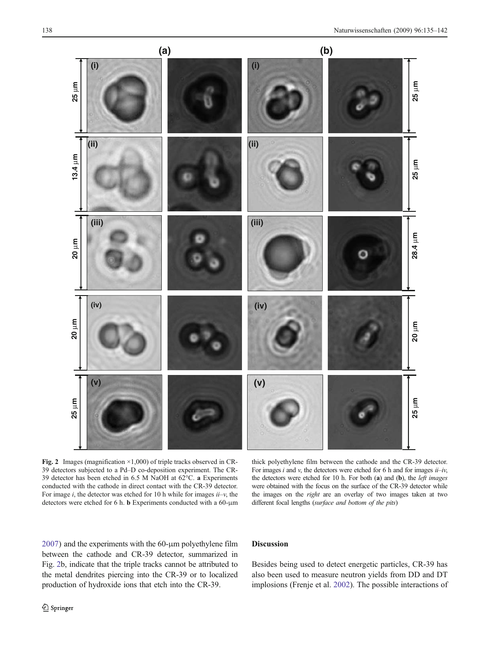<span id="page-3-0"></span>

Fig. 2 Images (magnification ×1,000) of triple tracks observed in CR-39 detectors subjected to a Pd–D co-deposition experiment. The CR-39 detector has been etched in 6.5 M NaOH at 62°C. a Experiments conducted with the cathode in direct contact with the CR-39 detector. For image  $i$ , the detector was etched for 10 h while for images  $ii-v$ , the detectors were etched for 6 h. b Experiments conducted with a 60-μm

thick polyethylene film between the cathode and the CR-39 detector. For images i and v, the detectors were etched for 6 h and for images  $ii-iv$ , the detectors were etched for 10 h. For both (a) and (b), the *left images* were obtained with the focus on the surface of the CR-39 detector while the images on the right are an overlay of two images taken at two different focal lengths (surface and bottom of the pits)

[2007](#page-7-0)) and the experiments with the 60-μm polyethylene film between the cathode and CR-39 detector, summarized in Fig. 2b, indicate that the triple tracks cannot be attributed to the metal dendrites piercing into the CR-39 or to localized production of hydroxide ions that etch into the CR-39.

# Discussion

Besides being used to detect energetic particles, CR-39 has also been used to measure neutron yields from DD and DT implosions (Frenje et al. [2002\)](#page-6-0). The possible interactions of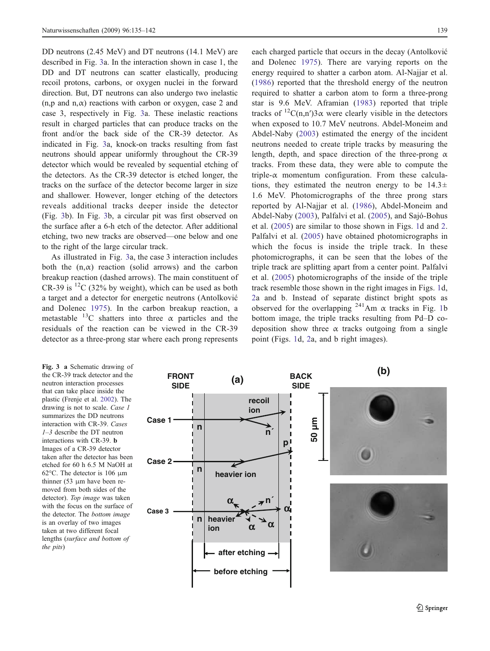DD neutrons (2.45 MeV) and DT neutrons (14.1 MeV) are described in Fig. 3a. In the interaction shown in case 1, the DD and DT neutrons can scatter elastically, producing recoil protons, carbons, or oxygen nuclei in the forward direction. But, DT neutrons can also undergo two inelastic  $(n,p \text{ and } n,\alpha)$  reactions with carbon or oxygen, case 2 and case 3, respectively in Fig. 3a. These inelastic reactions result in charged particles that can produce tracks on the front and/or the back side of the CR-39 detector. As indicated in Fig. 3a, knock-on tracks resulting from fast neutrons should appear uniformly throughout the CR-39 detector which would be revealed by sequential etching of the detectors. As the CR-39 detector is etched longer, the tracks on the surface of the detector become larger in size and shallower. However, longer etching of the detectors reveals additional tracks deeper inside the detector (Fig. 3b). In Fig. 3b, a circular pit was first observed on the surface after a 6-h etch of the detector. After additional etching, two new tracks are observed—one below and one to the right of the large circular track.

As illustrated in Fig. 3a, the case 3 interaction includes both the  $(n, \alpha)$  reaction (solid arrows) and the carbon breakup reaction (dashed arrows). The main constituent of CR-39 is  ${}^{12}C$  (32% by weight), which can be used as both a target and a detector for energetic neutrons (Antolković and Dolenec [1975](#page-6-0)). In the carbon breakup reaction, a metastable  $^{13}$ C shatters into three  $\alpha$  particles and the residuals of the reaction can be viewed in the CR-39 detector as a three-prong star where each prong represents

each charged particle that occurs in the decay (Antolković and Dolenec [1975](#page-6-0)). There are varying reports on the energy required to shatter a carbon atom. Al-Najjar et al. [\(1986\)](#page-6-0) reported that the threshold energy of the neutron required to shatter a carbon atom to form a three-prong star is 9.6 MeV. Aframian ([1983](#page-6-0)) reported that triple tracks of  ${}^{12}C(n,n')3\alpha$  were clearly visible in the detectors when exposed to 10.7 MeV neutrons. Abdel-Moneim and Abdel-Naby ([2003\)](#page-6-0) estimated the energy of the incident neutrons needed to create triple tracks by measuring the length, depth, and space direction of the three-prong  $\alpha$ tracks. From these data, they were able to compute the triple- $\alpha$  momentum configuration. From these calculations, they estimated the neutron energy to be  $14.3\pm$ 1.6 MeV. Photomicrographs of the three prong stars reported by Al-Najjar et al. ([1986](#page-6-0)), Abdel-Moneim and Abdel-Naby ([2003](#page-6-0)), Palfalvi et al. ([2005](#page-7-0)), and Sajó-Bohus et al. ([2005](#page-7-0)) are similar to those shown in Figs. [1d](#page-2-0) and [2.](#page-3-0) Palfalvi et al. ([2005\)](#page-7-0) have obtained photomicrographs in which the focus is inside the triple track. In these photomicrographs, it can be seen that the lobes of the triple track are splitting apart from a center point. Palfalvi et al. ([2005](#page-7-0)) photomicrographs of the inside of the triple track resemble those shown in the right images in Figs. [1d](#page-2-0), [2](#page-3-0)a and b. Instead of separate distinct bright spots as observed for the overlapping  $241$  $241$ Am  $\alpha$  tracks in Fig. 1b bottom image, the triple tracks resulting from Pd–D codeposition show three  $\alpha$  tracks outgoing from a single point (Figs. [1](#page-2-0)d, [2](#page-3-0)a, and b right images).

the CR-39 track detector and the neutron interaction processes that can take place inside the plastic (Frenje et al. [2002](#page-6-0)). The drawing is not to scale. Case 1 summarizes the DD neutrons interaction with CR-39. Cases 1–3 describe the DT neutron interactions with CR-39. b Images of a CR-39 detector taken after the detector has been etched for 60 h 6.5 M NaOH at 62°C. The detector is 106 μm thinner (53 μm have been removed from both sides of the detector). Top image was taken with the focus on the surface of the detector. The bottom image is an overlay of two images taken at two different focal lengths (surface and bottom of the pits)

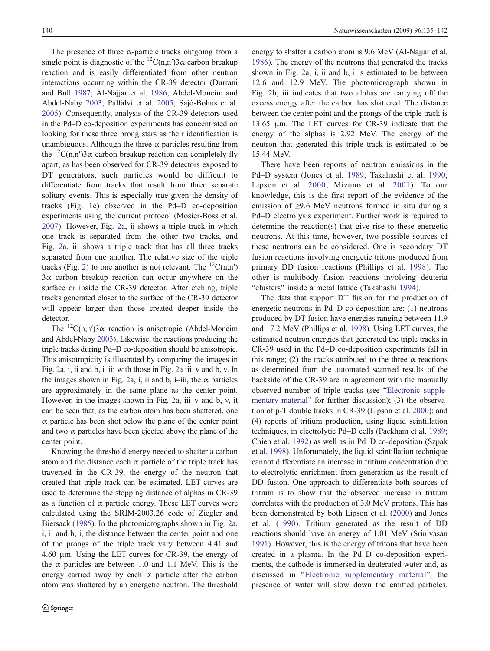The presence of three  $\alpha$ -particle tracks outgoing from a single point is diagnostic of the <sup>12</sup>C(n,n')3 $\alpha$  carbon breakup reaction and is easily differentiated from other neutron interactions occurring within the CR-39 detector (Durrani and Bull [1987](#page-6-0); Al-Najjar et al. [1986](#page-6-0); Abdel-Moneim and Abdel-Naby [2003](#page-6-0); Pálfalvi et al. [2005;](#page-7-0) Sajó-Bohus et al. [2005\)](#page-7-0). Consequently, analysis of the CR-39 detectors used in the Pd–D co-deposition experiments has concentrated on looking for these three prong stars as their identification is unambiguous. Although the three  $\alpha$  particles resulting from the <sup>12</sup>C(n,n')3 $\alpha$  carbon breakup reaction can completely fly apart, as has been observed for CR-39 detectors exposed to DT generators, such particles would be difficult to differentiate from tracks that result from three separate solitary events. This is especially true given the density of tracks (Fig. [1c](#page-2-0)) observed in the Pd–D co-deposition experiments using the current protocol (Mosier-Boss et al. [2007\)](#page-7-0). However, Fig. [2a](#page-3-0), ii shows a triple track in which one track is separated from the other two tracks, and Fig. [2](#page-3-0)a, iii shows a triple track that has all three tracks separated from one another. The relative size of the triple tracks (Fig. [2\)](#page-3-0) to one another is not relevant. The  ${}^{12}C(n,n')$ 3α carbon breakup reaction can occur anywhere on the surface or inside the CR-39 detector. After etching, triple tracks generated closer to the surface of the CR-39 detector will appear larger than those created deeper inside the detector.

The  ${}^{12}C(n,n')3\alpha$  reaction is anisotropic (Abdel-Moneim and Abdel-Naby [2003\)](#page-6-0). Likewise, the reactions producing the triple tracks during Pd–D co-deposition should be anisotropic. This anisotropicity is illustrated by comparing the images in Fig. [2](#page-3-0)a, i, ii and b, i–iii with those in Fig. [2](#page-3-0)a iii–v and b, v. In the images shown in Fig. [2](#page-3-0)a, i, ii and b, i–iii, the  $\alpha$  particles are approximately in the same plane as the center point. However, in the images shown in Fig. [2a](#page-3-0), iii–v and b, v, it can be seen that, as the carbon atom has been shattered, one  $\alpha$  particle has been shot below the plane of the center point and two  $\alpha$  particles have been ejected above the plane of the center point.

Knowing the threshold energy needed to shatter a carbon atom and the distance each  $\alpha$  particle of the triple track has traversed in the CR-39, the energy of the neutron that created that triple track can be estimated. LET curves are used to determine the stopping distance of alphas in CR-39 as a function of  $\alpha$  particle energy. These LET curves were calculated using the SRIM-2003.26 code of Ziegler and Biersack [\(1985](#page-7-0)). In the photomicrographs shown in Fig. [2](#page-3-0)a, i, ii and b, i, the distance between the center point and one of the prongs of the triple track vary between 4.41 and 4.60 μm. Using the LET curves for CR-39, the energy of the  $\alpha$  particles are between 1.0 and 1.1 MeV. This is the energy carried away by each  $\alpha$  particle after the carbon atom was shattered by an energetic neutron. The threshold energy to shatter a carbon atom is 9.6 MeV (Al-Najjar et al. [1986](#page-6-0)). The energy of the neutrons that generated the tracks shown in Fig. [2](#page-3-0)a, i, ii and b, i is estimated to be between 12.6 and 12.9 MeV. The photomicrograph shown in Fig. [2](#page-3-0)b, iii indicates that two alphas are carrying off the excess energy after the carbon has shattered. The distance between the center point and the prongs of the triple track is 13.65 μm. The LET curves for CR-39 indicate that the energy of the alphas is 2.92 MeV. The energy of the neutron that generated this triple track is estimated to be 15.44 MeV.

There have been reports of neutron emissions in the Pd–D system (Jones et al. [1989;](#page-6-0) Takahashi et al. [1990;](#page-7-0) Lipson et al. [2000](#page-7-0); Mizuno et al. [2001](#page-7-0)). To our knowledge, this is the first report of the evidence of the emission of ≥9.6 MeV neutrons formed in situ during a Pd–D electrolysis experiment. Further work is required to determine the reaction(s) that give rise to these energetic neutrons. At this time, however, two possible sources of these neutrons can be considered. One is secondary DT fusion reactions involving energetic tritons produced from primary DD fusion reactions (Phillips et al. [1998](#page-7-0)). The other is multibody fusion reactions involving deuteria "clusters" inside a metal lattice (Takahashi [1994\)](#page-7-0).

The data that support DT fusion for the production of energetic neutrons in Pd–D co-deposition are: (1) neutrons produced by DT fusion have energies ranging between 11.9 and 17.2 MeV (Phillips et al. [1998\)](#page-7-0). Using LET curves, the estimated neutron energies that generated the triple tracks in CR-39 used in the Pd–D co-deposition experiments fall in this range; (2) the tracks attributed to the three  $\alpha$  reactions as determined from the automated scanned results of the backside of the CR-39 are in agreement with the manually observed number of triple tracks (see "Electronic supplementary material" for further discussion); (3) the observation of p-T double tracks in CR-39 (Lipson et al. [2000](#page-7-0)); and (4) reports of tritium production, using liquid scintillation techniques, in electrolytic Pd–D cells (Packham et al. [1989;](#page-7-0) Chien et al. [1992](#page-6-0)) as well as in Pd–D co-deposition (Szpak et al. [1998\)](#page-7-0). Unfortunately, the liquid scintillation technique cannot differentiate an increase in tritium concentration due to electrolytic enrichment from generation as the result of DD fusion. One approach to differentiate both sources of tritium is to show that the observed increase in tritium correlates with the production of 3.0 MeV protons. This has been demonstrated by both Lipson et al. ([2000\)](#page-7-0) and Jones et al. ([1990](#page-7-0)). Tritium generated as the result of DD reactions should have an energy of 1.01 MeV (Srinivasan [1991](#page-7-0)). However, this is the energy of tritons that have been created in a plasma. In the Pd–D co-deposition experiments, the cathode is immersed in deuterated water and, as discussed in "Electronic supplementary material", the presence of water will slow down the emitted particles.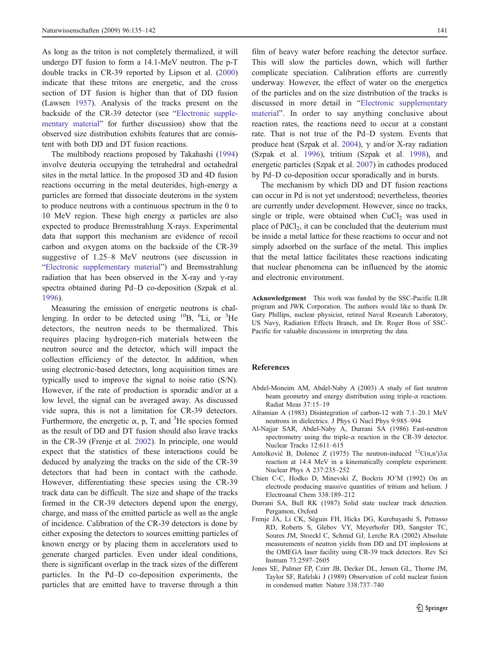<span id="page-6-0"></span>As long as the triton is not completely thermalized, it will undergo DT fusion to form a 14.1-MeV neutron. The p-T double tracks in CR-39 reported by Lipson et al. ([2000\)](#page-7-0) indicate that these tritons are energetic, and the cross section of DT fusion is higher than that of DD fusion (Lawsen [1957](#page-7-0)). Analysis of the tracks present on the backside of the CR-39 detector (see "Electronic supplementary material" for further discussion) show that the observed size distribution exhibits features that are consistent with both DD and DT fusion reactions.

The multibody reactions proposed by Takahashi ([1994\)](#page-7-0) involve deuteria occupying the tetrahedral and octahedral sites in the metal lattice. In the proposed 3D and 4D fusion reactions occurring in the metal deuterides, high-energy  $\alpha$ particles are formed that dissociate deuterons in the system to produce neutrons with a continuous spectrum in the 0 to 10 MeV region. These high energy  $\alpha$  particles are also expected to produce Bremsstrahlung X-rays. Experimental data that support this mechanism are evidence of recoil carbon and oxygen atoms on the backside of the CR-39 suggestive of 1.25–8 MeV neutrons (see discussion in "Electronic supplementary material") and Bremsstrahlung radiation that has been observed in the X-ray and  $\gamma$ -ray spectra obtained during Pd–D co-deposition (Szpak et al. [1996\)](#page-7-0).

Measuring the emission of energetic neutrons is challenging. In order to be detected using  $^{10}B$ ,  $^{6}Li$ , or  $^{3}He$ detectors, the neutron needs to be thermalized. This requires placing hydrogen-rich materials between the neutron source and the detector, which will impact the collection efficiency of the detector. In addition, when using electronic-based detectors, long acquisition times are typically used to improve the signal to noise ratio (S/N). However, if the rate of production is sporadic and/or at a low level, the signal can be averaged away. As discussed vide supra, this is not a limitation for CR-39 detectors. Furthermore, the energetic  $\alpha$ , p, T, and <sup>3</sup>He species formed as the result of DD and DT fusion should also leave tracks in the CR-39 (Frenje et al. 2002). In principle, one would expect that the statistics of these interactions could be deduced by analyzing the tracks on the side of the CR-39 detectors that had been in contact with the cathode. However, differentiating these species using the CR-39 track data can be difficult. The size and shape of the tracks formed in the CR-39 detectors depend upon the energy, charge, and mass of the emitted particle as well as the angle of incidence. Calibration of the CR-39 detectors is done by either exposing the detectors to sources emitting particles of known energy or by placing them in accelerators used to generate charged particles. Even under ideal conditions, there is significant overlap in the track sizes of the different particles. In the Pd–D co-deposition experiments, the particles that are emitted have to traverse through a thin

film of heavy water before reaching the detector surface. This will slow the particles down, which will further complicate speciation. Calibration efforts are currently underway. However, the effect of water on the energetics of the particles and on the size distribution of the tracks is discussed in more detail in "Electronic supplementary material". In order to say anything conclusive about reaction rates, the reactions need to occur at a constant rate. That is not true of the Pd–D system. Events that produce heat (Szpak et al. [2004\)](#page-7-0),  $\gamma$  and/or X-ray radiation (Szpak et al. [1996](#page-7-0)), tritium (Szpak et al. [1998\)](#page-7-0), and energetic particles (Szpak et al. [2007](#page-7-0)) in cathodes produced by Pd–D co-deposition occur sporadically and in bursts.

The mechanism by which DD and DT fusion reactions can occur in Pd is not yet understood; nevertheless, theories are currently under development. However, since no tracks, single or triple, were obtained when  $CuCl<sub>2</sub>$  was used in place of  $PdCl<sub>2</sub>$ , it can be concluded that the deuterium must be inside a metal lattice for these reactions to occur and not simply adsorbed on the surface of the metal. This implies that the metal lattice facilitates these reactions indicating that nuclear phenomena can be influenced by the atomic and electronic environment.

Acknowledgement This work was funded by the SSC-Pacific ILIR program and JWK Corporation. The authors would like to thank Dr. Gary Phillips, nuclear physicist, retired Naval Research Laboratory, US Navy, Radiation Effects Branch, and Dr. Roger Boss of SSC-Pacific for valuable discussions in interpreting the data.

## References

- Abdel-Moneim AM, Abdel-Naby A (2003) A study of fast neutron beam geometry and energy distribution using triple- $\alpha$  reactions. Radiat Meas 37:15–19
- Aframian A (1983) Disintegration of carbon-12 with 7.1–20.1 MeV neutrons in dielectrics. J Phys G Nucl Phys 9:985–994
- Al-Najjar SAR, Abdel-Naby A, Durrani SA (1986) Fast-neutron spectrometry using the triple- $\alpha$  reaction in the CR-39 detector. Nuclear Tracks 12:611–615
- Antolković B, Dolenec Z (1975) The neutron-induced  ${}^{12}C(n,n')3\alpha$ reaction at 14.4 MeV in a kinematically complete experiment. Nuclear Phys A 237:235–252
- Chien C-C, Hodko D, Minevski Z, Bockris JO'M (1992) On an electrode producing massive quantities of tritium and helium. J Electroanal Chem 338:189–212
- Durrani SA, Bull RK (1987) Solid state nuclear track detection. Pergamon, Oxford
- Frenje JA, Li CK, Séguin FH, Hicks DG, Kurebayashi S, Petrasso RD, Roberts S, Glebov VY, Meyerhofer DD, Sangster TC, Soures JM, Stoeckl C, Schmid GJ, Lerche RA (2002) Absolute measurements of neutron yields from DD and DT implosions at the OMEGA laser facility using CR-39 track detectors. Rev Sci Instrum 73:2597–2605
- Jones SE, Palmer EP, Czirr JB, Decker DL, Jensen GL, Thorne JM, Taylor SF, Rafelski J (1989) Observation of cold nuclear fusion in condensed matter. Nature 338:737–740